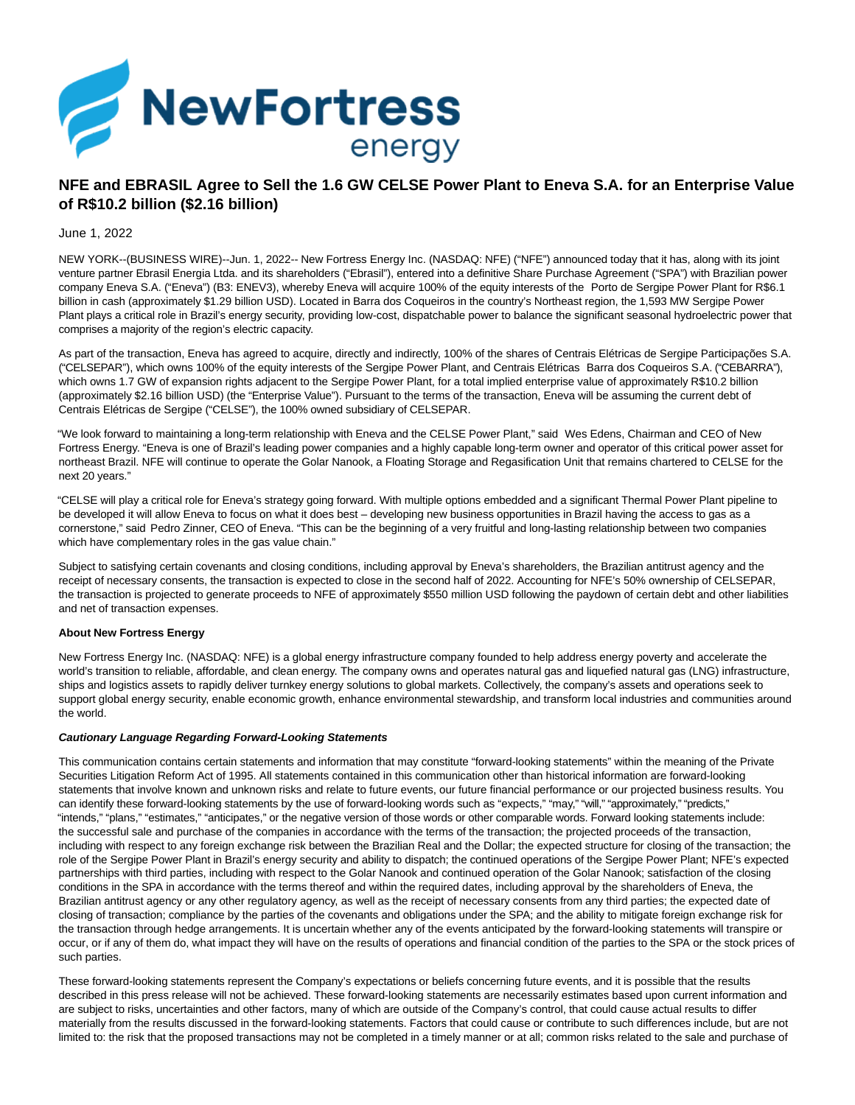

## **NFE and EBRASIL Agree to Sell the 1.6 GW CELSE Power Plant to Eneva S.A. for an Enterprise Value of R\$10.2 billion (\$2.16 billion)**

## June 1, 2022

NEW YORK--(BUSINESS WIRE)--Jun. 1, 2022-- New Fortress Energy Inc. (NASDAQ: NFE) ("NFE") announced today that it has, along with its joint venture partner Ebrasil Energia Ltda. and its shareholders ("Ebrasil"), entered into a definitive Share Purchase Agreement ("SPA") with Brazilian power company Eneva S.A. ("Eneva") (B3: ENEV3), whereby Eneva will acquire 100% of the equity interests of the Porto de Sergipe Power Plant for R\$6.1 billion in cash (approximately \$1.29 billion USD). Located in Barra dos Coqueiros in the country's Northeast region, the 1,593 MW Sergipe Power Plant plays a critical role in Brazil's energy security, providing low-cost, dispatchable power to balance the significant seasonal hydroelectric power that comprises a majority of the region's electric capacity.

As part of the transaction, Eneva has agreed to acquire, directly and indirectly, 100% of the shares of Centrais Elétricas de Sergipe Participações S.A. ("CELSEPAR"), which owns 100% of the equity interests of the Sergipe Power Plant, and Centrais Elétricas Barra dos Coqueiros S.A. ("CEBARRA"), which owns 1.7 GW of expansion rights adjacent to the Sergipe Power Plant, for a total implied enterprise value of approximately R\$10.2 billion (approximately \$2.16 billion USD) (the "Enterprise Value"). Pursuant to the terms of the transaction, Eneva will be assuming the current debt of Centrais Elétricas de Sergipe ("CELSE"), the 100% owned subsidiary of CELSEPAR.

"We look forward to maintaining a long-term relationship with Eneva and the CELSE Power Plant," said Wes Edens, Chairman and CEO of New Fortress Energy. "Eneva is one of Brazil's leading power companies and a highly capable long-term owner and operator of this critical power asset for northeast Brazil. NFE will continue to operate the Golar Nanook, a Floating Storage and Regasification Unit that remains chartered to CELSE for the next 20 years."

"CELSE will play a critical role for Eneva's strategy going forward. With multiple options embedded and a significant Thermal Power Plant pipeline to be developed it will allow Eneva to focus on what it does best – developing new business opportunities in Brazil having the access to gas as a cornerstone," said Pedro Zinner, CEO of Eneva. "This can be the beginning of a very fruitful and long-lasting relationship between two companies which have complementary roles in the gas value chain."

Subject to satisfying certain covenants and closing conditions, including approval by Eneva's shareholders, the Brazilian antitrust agency and the receipt of necessary consents, the transaction is expected to close in the second half of 2022. Accounting for NFE's 50% ownership of CELSEPAR, the transaction is projected to generate proceeds to NFE of approximately \$550 million USD following the paydown of certain debt and other liabilities and net of transaction expenses.

## **About New Fortress Energy**

New Fortress Energy Inc. (NASDAQ: NFE) is a global energy infrastructure company founded to help address energy poverty and accelerate the world's transition to reliable, affordable, and clean energy. The company owns and operates natural gas and liquefied natural gas (LNG) infrastructure, ships and logistics assets to rapidly deliver turnkey energy solutions to global markets. Collectively, the company's assets and operations seek to support global energy security, enable economic growth, enhance environmental stewardship, and transform local industries and communities around the world.

## **Cautionary Language Regarding Forward-Looking Statements**

This communication contains certain statements and information that may constitute "forward-looking statements" within the meaning of the Private Securities Litigation Reform Act of 1995. All statements contained in this communication other than historical information are forward-looking statements that involve known and unknown risks and relate to future events, our future financial performance or our projected business results. You can identify these forward-looking statements by the use of forward-looking words such as "expects," "may," "will," "approximately," "predicts," "intends," "plans," "estimates," "anticipates," or the negative version of those words or other comparable words. Forward looking statements include: the successful sale and purchase of the companies in accordance with the terms of the transaction; the projected proceeds of the transaction, including with respect to any foreign exchange risk between the Brazilian Real and the Dollar; the expected structure for closing of the transaction; the role of the Sergipe Power Plant in Brazil's energy security and ability to dispatch; the continued operations of the Sergipe Power Plant; NFE's expected partnerships with third parties, including with respect to the Golar Nanook and continued operation of the Golar Nanook; satisfaction of the closing conditions in the SPA in accordance with the terms thereof and within the required dates, including approval by the shareholders of Eneva, the Brazilian antitrust agency or any other regulatory agency, as well as the receipt of necessary consents from any third parties; the expected date of closing of transaction; compliance by the parties of the covenants and obligations under the SPA; and the ability to mitigate foreign exchange risk for the transaction through hedge arrangements. It is uncertain whether any of the events anticipated by the forward-looking statements will transpire or occur, or if any of them do, what impact they will have on the results of operations and financial condition of the parties to the SPA or the stock prices of such parties.

These forward-looking statements represent the Company's expectations or beliefs concerning future events, and it is possible that the results described in this press release will not be achieved. These forward-looking statements are necessarily estimates based upon current information and are subject to risks, uncertainties and other factors, many of which are outside of the Company's control, that could cause actual results to differ materially from the results discussed in the forward-looking statements. Factors that could cause or contribute to such differences include, but are not limited to: the risk that the proposed transactions may not be completed in a timely manner or at all; common risks related to the sale and purchase of